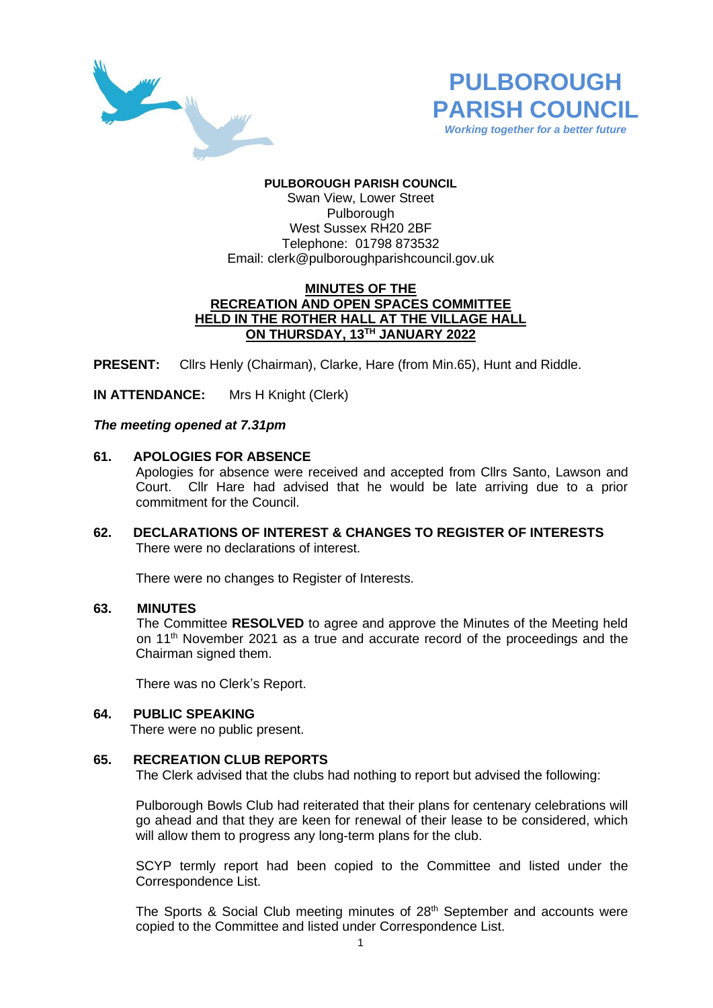



# **PULBOROUGH PARISH COUNCIL**

Swan View, Lower Street Pulborough West Sussex RH20 2BF Telephone: 01798 873532 Email: [clerk@pulboroughparishcouncil.gov.uk](mailto:clerk@pulboroughparishcouncil.gov.uk)

# **MINUTES OF THE RECREATION AND OPEN SPACES COMMITTEE HELD IN THE ROTHER HALL AT THE VILLAGE HALL ON THURSDAY, 13TH JANUARY 2022**

**PRESENT:** Cllrs Henly (Chairman), Clarke, Hare (from Min.65), Hunt and Riddle.

**IN ATTENDANCE:** Mrs H Knight (Clerk)

#### *The meeting opened at 7.31pm*

# **61. APOLOGIES FOR ABSENCE**

Apologies for absence were received and accepted from Cllrs Santo, Lawson and Court. Cllr Hare had advised that he would be late arriving due to a prior commitment for the Council.

**62. DECLARATIONS OF INTEREST & CHANGES TO REGISTER OF INTERESTS** There were no declarations of interest.

There were no changes to Register of Interests.

#### **63. MINUTES**

The Committee **RESOLVED** to agree and approve the Minutes of the Meeting held on 11<sup>th</sup> November 2021 as a true and accurate record of the proceedings and the Chairman signed them.

There was no Clerk's Report.

## **64. PUBLIC SPEAKING**

There were no public present.

#### **65. RECREATION CLUB REPORTS**

The Clerk advised that the clubs had nothing to report but advised the following:

Pulborough Bowls Club had reiterated that their plans for centenary celebrations will go ahead and that they are keen for renewal of their lease to be considered, which will allow them to progress any long-term plans for the club.

SCYP termly report had been copied to the Committee and listed under the Correspondence List.

The Sports & Social Club meeting minutes of 28<sup>th</sup> September and accounts were copied to the Committee and listed under Correspondence List.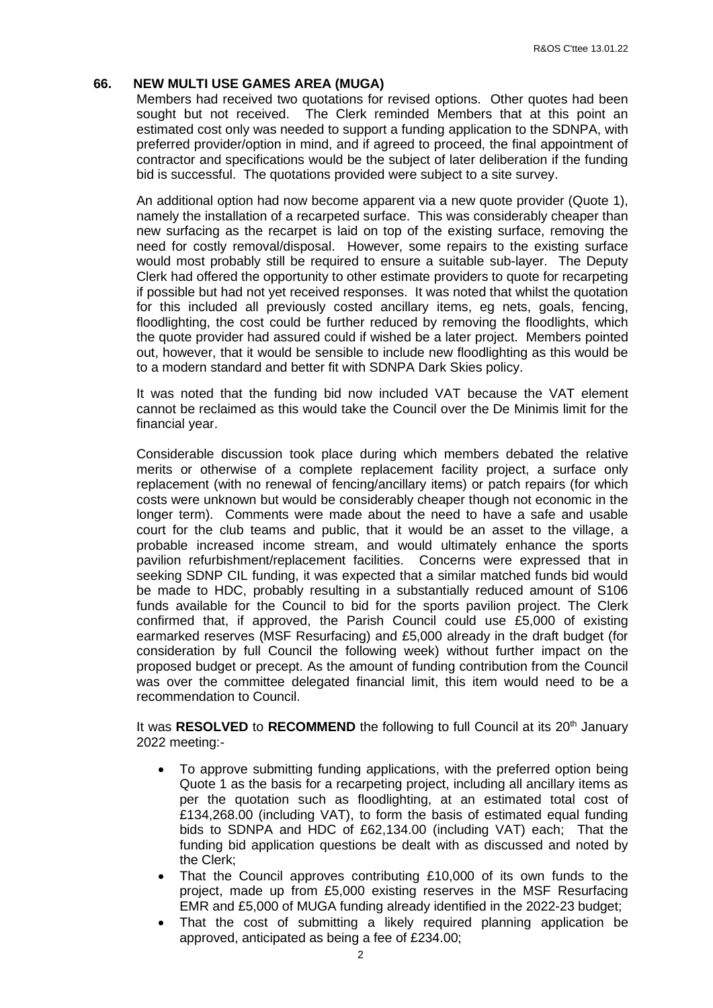# **66. NEW MULTI USE GAMES AREA (MUGA)**

Members had received two quotations for revised options. Other quotes had been sought but not received. The Clerk reminded Members that at this point an estimated cost only was needed to support a funding application to the SDNPA, with preferred provider/option in mind, and if agreed to proceed, the final appointment of contractor and specifications would be the subject of later deliberation if the funding bid is successful. The quotations provided were subject to a site survey.

An additional option had now become apparent via a new quote provider (Quote 1), namely the installation of a recarpeted surface. This was considerably cheaper than new surfacing as the recarpet is laid on top of the existing surface, removing the need for costly removal/disposal. However, some repairs to the existing surface would most probably still be required to ensure a suitable sub-layer. The Deputy Clerk had offered the opportunity to other estimate providers to quote for recarpeting if possible but had not yet received responses. It was noted that whilst the quotation for this included all previously costed ancillary items, eg nets, goals, fencing, floodlighting, the cost could be further reduced by removing the floodlights, which the quote provider had assured could if wished be a later project. Members pointed out, however, that it would be sensible to include new floodlighting as this would be to a modern standard and better fit with SDNPA Dark Skies policy.

It was noted that the funding bid now included VAT because the VAT element cannot be reclaimed as this would take the Council over the De Minimis limit for the financial year.

Considerable discussion took place during which members debated the relative merits or otherwise of a complete replacement facility project, a surface only replacement (with no renewal of fencing/ancillary items) or patch repairs (for which costs were unknown but would be considerably cheaper though not economic in the longer term). Comments were made about the need to have a safe and usable court for the club teams and public, that it would be an asset to the village, a probable increased income stream, and would ultimately enhance the sports pavilion refurbishment/replacement facilities. Concerns were expressed that in seeking SDNP CIL funding, it was expected that a similar matched funds bid would be made to HDC, probably resulting in a substantially reduced amount of S106 funds available for the Council to bid for the sports pavilion project. The Clerk confirmed that, if approved, the Parish Council could use £5,000 of existing earmarked reserves (MSF Resurfacing) and £5,000 already in the draft budget (for consideration by full Council the following week) without further impact on the proposed budget or precept. As the amount of funding contribution from the Council was over the committee delegated financial limit, this item would need to be a recommendation to Council.

It was **RESOLVED** to **RECOMMEND** the following to full Council at its 20<sup>th</sup> January 2022 meeting:-

- To approve submitting funding applications, with the preferred option being Quote 1 as the basis for a recarpeting project, including all ancillary items as per the quotation such as floodlighting, at an estimated total cost of £134,268.00 (including VAT), to form the basis of estimated equal funding bids to SDNPA and HDC of £62,134.00 (including VAT) each; That the funding bid application questions be dealt with as discussed and noted by the Clerk;
- That the Council approves contributing £10,000 of its own funds to the project, made up from £5,000 existing reserves in the MSF Resurfacing EMR and £5,000 of MUGA funding already identified in the 2022-23 budget;
- That the cost of submitting a likely required planning application be approved, anticipated as being a fee of £234.00;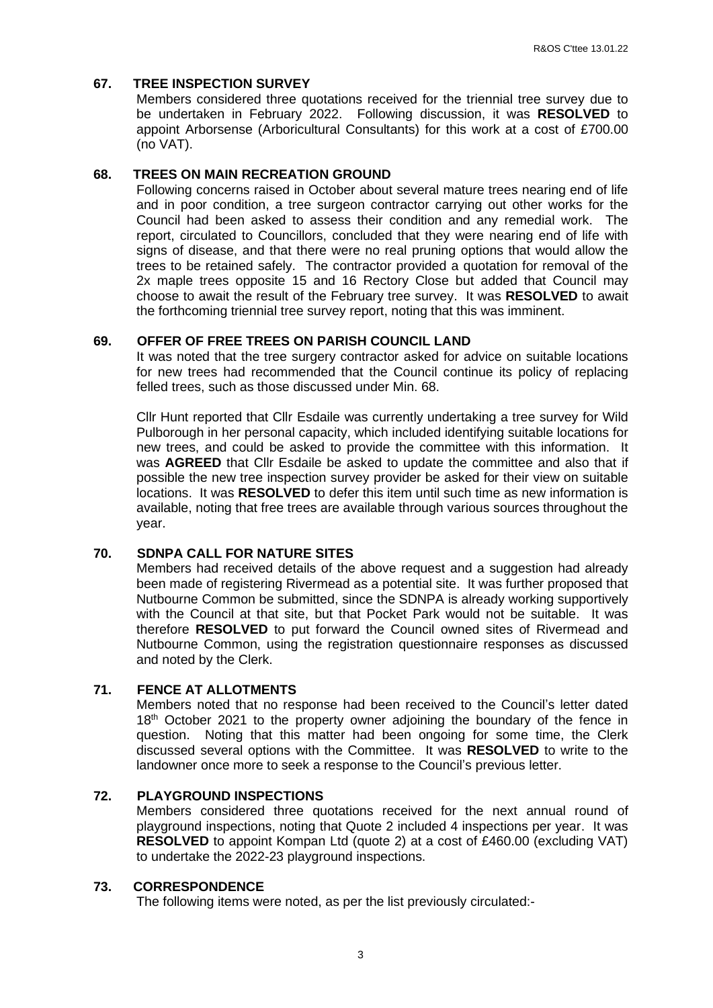# **67. TREE INSPECTION SURVEY**

Members considered three quotations received for the triennial tree survey due to be undertaken in February 2022. Following discussion, it was **RESOLVED** to appoint Arborsense (Arboricultural Consultants) for this work at a cost of £700.00 (no VAT).

### **68. TREES ON MAIN RECREATION GROUND**

Following concerns raised in October about several mature trees nearing end of life and in poor condition, a tree surgeon contractor carrying out other works for the Council had been asked to assess their condition and any remedial work. The report, circulated to Councillors, concluded that they were nearing end of life with signs of disease, and that there were no real pruning options that would allow the trees to be retained safely. The contractor provided a quotation for removal of the 2x maple trees opposite 15 and 16 Rectory Close but added that Council may choose to await the result of the February tree survey. It was **RESOLVED** to await the forthcoming triennial tree survey report, noting that this was imminent.

# **69. OFFER OF FREE TREES ON PARISH COUNCIL LAND**

It was noted that the tree surgery contractor asked for advice on suitable locations for new trees had recommended that the Council continue its policy of replacing felled trees, such as those discussed under Min. 68.

Cllr Hunt reported that Cllr Esdaile was currently undertaking a tree survey for Wild Pulborough in her personal capacity, which included identifying suitable locations for new trees, and could be asked to provide the committee with this information. It was **AGREED** that Cllr Esdaile be asked to update the committee and also that if possible the new tree inspection survey provider be asked for their view on suitable locations. It was **RESOLVED** to defer this item until such time as new information is available, noting that free trees are available through various sources throughout the year.

# **70. SDNPA CALL FOR NATURE SITES**

Members had received details of the above request and a suggestion had already been made of registering Rivermead as a potential site. It was further proposed that Nutbourne Common be submitted, since the SDNPA is already working supportively with the Council at that site, but that Pocket Park would not be suitable. It was therefore **RESOLVED** to put forward the Council owned sites of Rivermead and Nutbourne Common, using the registration questionnaire responses as discussed and noted by the Clerk.

# **71. FENCE AT ALLOTMENTS**

Members noted that no response had been received to the Council's letter dated 18<sup>th</sup> October 2021 to the property owner adjoining the boundary of the fence in question. Noting that this matter had been ongoing for some time, the Clerk discussed several options with the Committee. It was **RESOLVED** to write to the landowner once more to seek a response to the Council's previous letter.

## **72. PLAYGROUND INSPECTIONS**

Members considered three quotations received for the next annual round of playground inspections, noting that Quote 2 included 4 inspections per year. It was **RESOLVED** to appoint Kompan Ltd (quote 2) at a cost of £460.00 (excluding VAT) to undertake the 2022-23 playground inspections.

# **73. CORRESPONDENCE**

The following items were noted, as per the list previously circulated:-